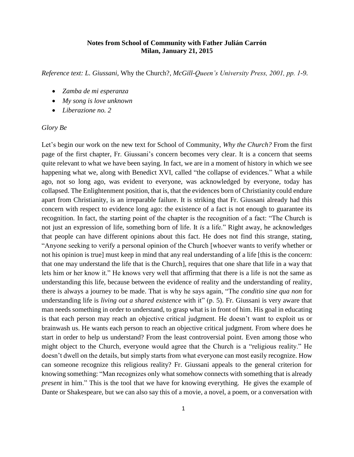## **Notes from School of Community with Father Julián Carrón Milan, January 21, 2015**

*Reference text: L. Giussani,* Why the Church?*, McGill-Queen's University Press, 2001, pp. 1-9.*

- *Zamba de mi esperanza*
- *My song is love unknown*
- *Liberazione no. 2*

## *Glory Be*

Let's begin our work on the new text for School of Community, *Why the Church?* From the first page of the first chapter, Fr. Giussani's concern becomes very clear. It is a concern that seems quite relevant to what we have been saying. In fact, we are in a moment of history in which we see happening what we, along with Benedict XVI, called "the collapse of evidences." What a while ago, not so long ago, was evident to everyone, was acknowledged by everyone, today has collapsed. The Enlightenment position, that is, that the evidences born of Christianity could endure apart from Christianity, is an irreparable failure. It is striking that Fr. Giussani already had this concern with respect to evidence long ago: the existence of a fact is not enough to guarantee its recognition. In fact, the starting point of the chapter is the recognition of a fact: "The Church is not just an expression of life, something born of life. It *is* a life." Right away, he acknowledges that people can have different opinions about this fact. He does not find this strange, stating, "Anyone seeking to verify a personal opinion of the Church [whoever wants to verify whether or not his opinion is true] must keep in mind that any real understanding of a life [this is the concern: that one may understand the life that is the Church], requires that one share that life in a way that lets him or her know it." He knows very well that affirming that there is a life is not the same as understanding this life, because between the evidence of reality and the understanding of reality, there is always a journey to be made. That is why he says again, "The *conditio sine qua non* for understanding life is *living out a shared existence* with it" (p. 5). Fr. Giussani is very aware that man needs something in order to understand, to grasp what is in front of him. His goal in educating is that each person may reach an objective critical judgment. He doesn't want to exploit us or brainwash us. He wants each person to reach an objective critical judgment. From where does he start in order to help us understand? From the least controversial point. Even among those who might object to the Church, everyone would agree that the Church is a "religious reality." He doesn't dwell on the details, but simply starts from what everyone can most easily recognize. How can someone recognize this religious reality? Fr. Giussani appeals to the general criterion for knowing something: "Man recognizes only what somehow connects with something that is already *present* in him." This is the tool that we have for knowing everything. He gives the example of Dante or Shakespeare, but we can also say this of a movie, a novel, a poem, or a conversation with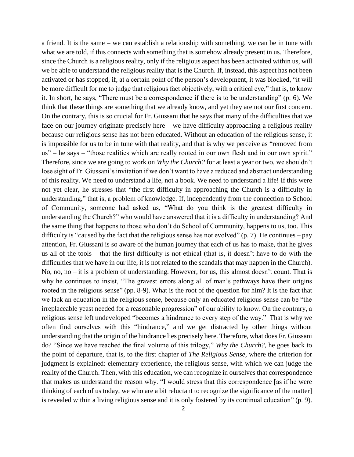a friend. It is the same – we can establish a relationship with something, we can be in tune with what we are told, if this connects with something that is somehow already present in us. Therefore, since the Church is a religious reality, only if the religious aspect has been activated within us, will we be able to understand the religious reality that is the Church. If, instead, this aspect has not been activated or has stopped, if, at a certain point of the person's development, it was blocked, "it will be more difficult for me to judge that religious fact objectively, with a critical eye," that is, to know it. In short, he says, "There must be a correspondence if there is to be understanding" (p. 6). We think that these things are something that we already know, and yet they are not our first concern. On the contrary, this is so crucial for Fr. Giussani that he says that many of the difficulties that we face on our journey originate precisely here – we have difficulty approaching a religious reality because our religious sense has not been educated. Without an education of the religious sense, it is impossible for us to be in tune with that reality, and that is why we perceive as "removed from us" – he says – "those realities which are really rooted in our own flesh and in our own spirit." Therefore, since we are going to work on *Why the Church?* for at least a year or two, we shouldn't lose sight of Fr. Giussani's invitation if we don't want to have a reduced and abstract understanding of this reality. We need to understand a life, not a book. We need to understand a life! If this were not yet clear, he stresses that "the first difficulty in approaching the Church is a difficulty in understanding," that is, a problem of knowledge. If, independently from the connection to School of Community, someone had asked us, "What do you think is the greatest difficulty in understanding the Church?" who would have answered that it is a difficulty in understanding? And the same thing that happens to those who don't do School of Community, happens to us, too. This difficulty is "caused by the fact that the religious sense has not evolved" (p. 7). He continues – pay attention, Fr. Giussani is so aware of the human journey that each of us has to make, that he gives us all of the tools – that the first difficulty is not ethical (that is, it doesn't have to do with the difficulties that we have in our life, it is not related to the scandals that may happen in the Church). No, no, no – it is a problem of understanding. However, for us, this almost doesn't count. That is why he continues to insist, "The gravest errors along all of man's pathways have their origins rooted in the religious sense" (pp. 8-9). What is the root of the question for him? It is the fact that we lack an education in the religious sense, because only an educated religious sense can be "the irreplaceable yeast needed for a reasonable progression" of our ability to know. On the contrary, a religious sense left undeveloped "becomes a hindrance to every step of the way." That is why we often find ourselves with this "hindrance," and we get distracted by other things without understanding that the origin of the hindrance lies precisely here. Therefore, what does Fr. Giussani do? "Since we have reached the final volume of this trilogy," *Why the Church?*, he goes back to the point of departure, that is, to the first chapter of *The Religious Sense*, where the criterion for judgment is explained: elementary experience, the religious sense, with which we can judge the reality of the Church. Then, with this education, we can recognize in ourselves that correspondence that makes us understand the reason why. "I would stress that this correspondence [as if he were thinking of each of us today, we who are a bit reluctant to recognize the significance of the matter] is revealed within a living religious sense and it is only fostered by its continual education" (p. 9).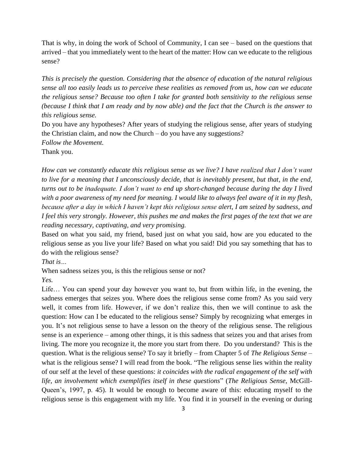That is why, in doing the work of School of Community, I can see – based on the questions that arrived – that you immediately went to the heart of the matter: How can we educate to the religious sense?

*This is precisely the question. Considering that the absence of education of the natural religious sense all too easily leads us to perceive these realities as removed from us, how can we educate the religious sense? Because too often I take for granted both sensitivity to the religious sense (because I think that I am ready and by now able) and the fact that the Church is the answer to this religious sense.*

Do you have any hypotheses? After years of studying the religious sense, after years of studying the Christian claim, and now the Church – do you have any suggestions? *Follow the Movement.*

Thank you.

*How can we constantly educate this religious sense as we live? I have realized that I don't want to live for a meaning that I unconsciously decide, that is inevitably present, but that, in the end, turns out to be inadequate. I don't want to end up short-changed because during the day I lived with a poor awareness of my need for meaning. I would like to always feel aware of it in my flesh, because after a day in which I haven't kept this religious sense alert, I am seized by sadness, and I feel this very strongly. However, this pushes me and makes the first pages of the text that we are reading necessary, captivating, and very promising.*

Based on what you said, my friend, based just on what you said, how are you educated to the religious sense as you live your life? Based on what you said! Did you say something that has to do with the religious sense?

*That is…*

When sadness seizes you, is this the religious sense or not?

*Yes.*

Life… You can spend your day however you want to, but from within life, in the evening, the sadness emerges that seizes you. Where does the religious sense come from? As you said very well, it comes from life. However, if we don't realize this, then we will continue to ask the question: How can I be educated to the religious sense? Simply by recognizing what emerges in you. It's not religious sense to have a lesson on the theory of the religious sense. The religious sense is an experience – among other things, it is this sadness that seizes you and that arises from living. The more you recognize it, the more you start from there. Do you understand? This is the question. What is the religious sense? To say it briefly – from Chapter 5 of *The Religious Sense* – what is the religious sense? I will read from the book. "The religious sense lies within the reality of our self at the level of these questions: *it coincides with the radical engagement of the self with life, an involvement which exemplifies itself in these questions*" (*The Religious Sense,* McGill-Queen's, 1997, p. 45). It would be enough to become aware of this: educating myself to the religious sense is this engagement with my life. You find it in yourself in the evening or during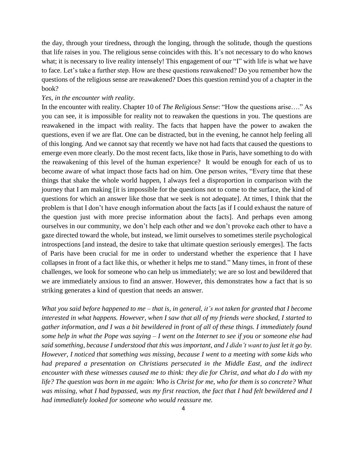the day, through your tiredness, through the longing, through the solitude, though the questions that life raises in you. The religious sense coincides with this. It's not necessary to do who knows what; it is necessary to live reality intensely! This engagement of our "I" with life is what we have to face. Let's take a further step. How are these questions reawakened? Do you remember how the questions of the religious sense are reawakened? Does this question remind you of a chapter in the book?

## *Yes, in the encounter with reality.*

In the encounter with reality. Chapter 10 of *The Religious Sense*: "How the questions arise…." As you can see, it is impossible for reality not to reawaken the questions in you. The questions are reawakened in the impact with reality. The facts that happen have the power to awaken the questions, even if we are flat. One can be distracted, but in the evening, he cannot help feeling all of this longing. And we cannot say that recently we have not had facts that caused the questions to emerge even more clearly. Do the most recent facts, like those in Paris, have something to do with the reawakening of this level of the human experience? It would be enough for each of us to become aware of what impact those facts had on him. One person writes, "Every time that these things that shake the whole world happen, I always feel a disproportion in comparison with the journey that I am making [it is impossible for the questions not to come to the surface, the kind of questions for which an answer like those that we seek is not adequate]. At times, I think that the problem is that I don't have enough information about the facts [as if I could exhaust the nature of the question just with more precise information about the facts]. And perhaps even among ourselves in our community, we don't help each other and we don't provoke each other to have a gaze directed toward the whole, but instead, we limit ourselves to sometimes sterile psychological introspections [and instead, the desire to take that ultimate question seriously emerges]. The facts of Paris have been crucial for me in order to understand whether the experience that I have collapses in front of a fact like this, or whether it helps me to stand." Many times, in front of these challenges, we look for someone who can help us immediately; we are so lost and bewildered that we are immediately anxious to find an answer. However, this demonstrates how a fact that is so striking generates a kind of question that needs an answer.

*What you said before happened to me – that is, in general, it's not taken for granted that I become interested in what happens. However, when I saw that all of my friends were shocked, I started to gather information, and I was a bit bewildered in front of all of these things. I immediately found some help in what the Pope was saying – I went on the Internet to see if you or someone else had said something, because I understood that this was important, and I didn't want to just let it go by. However, I noticed that something was missing, because I went to a meeting with some kids who*  had prepared a presentation on Christians persecuted in the Middle East, and the indirect *encounter with these witnesses caused me to think: they die for Christ, and what do I do with my life? The question was born in me again: Who is Christ for me, who for them is so concrete? What was missing, what I had bypassed, was my first reaction, the fact that I had felt bewildered and I had immediately looked for someone who would reassure me.*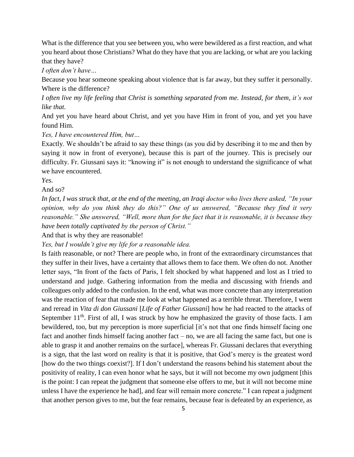What is the difference that you see between you, who were bewildered as a first reaction, and what you heard about those Christians? What do they have that you are lacking, or what are you lacking that they have?

*I often don't have…*

Because you hear someone speaking about violence that is far away, but they suffer it personally. Where is the difference?

*I often live my life feeling that Christ is something separated from me. Instead, for them, it's not like that.*

And yet you have heard about Christ, and yet you have Him in front of you, and yet you have found Him.

*Yes, I have encountered Him, but…*

Exactly. We shouldn't be afraid to say these things (as you did by describing it to me and then by saying it now in front of everyone), because this is part of the journey. This is precisely our difficulty. Fr. Giussani says it: "knowing it" is not enough to understand the significance of what we have encountered.

*Yes.*

And so?

*In fact, I was struck that, at the end of the meeting, an Iraqi doctor who lives there asked, "In your opinion, why do you think they do this?" One of us answered, "Because they find it very reasonable." She answered, "Well, more than for the fact that it is reasonable, it is because they have been totally captivated by the person of Christ."*

And that is why they are reasonable!

*Yes, but I wouldn't give my life for a reasonable idea.*

Is faith reasonable, or not? There are people who, in front of the extraordinary circumstances that they suffer in their lives, have a certainty that allows them to face them. We often do not. Another letter says, "In front of the facts of Paris, I felt shocked by what happened and lost as I tried to understand and judge. Gathering information from the media and discussing with friends and colleagues only added to the confusion. In the end, what was more concrete than any interpretation was the reaction of fear that made me look at what happened as a terrible threat. Therefore, I went and reread in *Vita di don Giussani* [*Life of Father Giussani*] how he had reacted to the attacks of September  $11<sup>th</sup>$ . First of all, I was struck by how he emphasized the gravity of those facts. I am bewildered, too, but my perception is more superficial [it's not that one finds himself facing one fact and another finds himself facing another fact – no, we are all facing the same fact, but one is able to grasp it and another remains on the surface], whereas Fr. Giussani declares that everything is a sign, that the last word on reality is that it is positive, that God's mercy is the greatest word [how do the two things coexist?]. If I don't understand the reasons behind his statement about the positivity of reality, I can even honor what he says, but it will not become my own judgment [this is the point: I can repeat the judgment that someone else offers to me, but it will not become mine unless I have the experience he had], and fear will remain more concrete." I can repeat a judgment that another person gives to me, but the fear remains, because fear is defeated by an experience, as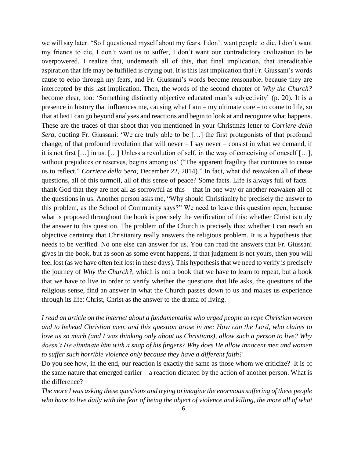we will say later. "So I questioned myself about my fears. I don't want people to die, I don't want my friends to die, I don't want us to suffer, I don't want our contradictory civilization to be overpowered. I realize that, underneath all of this, that final implication, that ineradicable aspiration that life may be fulfilled is crying out. It is this last implication that Fr. Giussani's words cause to echo through my fears, and Fr. Giussani's words become reasonable, because they are intercepted by this last implication. Then, the words of the second chapter of *Why the Church?* become clear, too: 'Something distinctly objective educated man's subjectivity' (p. 20). It is a presence in history that influences me, causing what I am – my ultimate core – to come to life, so that at last I can go beyond analyses and reactions and begin to look at and recognize what happens. These are the traces of that shoot that you mentioned in your Christmas letter to *Corriere della Sera*, quoting Fr. Giussani: 'We are truly able to be […] the first protagonists of that profound change, of that profound revolution that will never  $-$  I say never  $-$  consist in what we demand, if it is not first […] in us. […] Unless a revolution of self, in the way of conceiving of oneself […], without prejudices or reserves, begins among us' ("The apparent fragility that continues to cause us to reflect," *Corriere della Sera,* December 22, 2014)*.*" In fact, what did reawaken all of these questions, all of this turmoil, all of this sense of peace? Some facts. Life is always full of facts – thank God that they are not all as sorrowful as this – that in one way or another reawaken all of the questions in us. Another person asks me, "Why should Christianity be precisely the answer to this problem, as the School of Community says?" We need to leave this question open, because what is proposed throughout the book is precisely the verification of this: whether Christ is truly the answer to this question. The problem of the Church is precisely this: whether I can reach an objective certainty that Christianity really answers the religious problem. It is a hypothesis that needs to be verified. No one else can answer for us. You can read the answers that Fr. Giussani gives in the book, but as soon as some event happens, if that judgment is not yours, then you will feel lost (as we have often felt lost in these days). This hypothesis that we need to verify is precisely the journey of *Why the Church?*, which is not a book that we have to learn to repeat, but a book that we have to live in order to verify whether the questions that life asks, the questions of the religious sense, find an answer in what the Church passes down to us and makes us experience through its life: Christ, Christ as the answer to the drama of living.

*I read an article on the internet about a fundamentalist who urged people to rape Christian women and to behead Christian men, and this question arose in me: How can the Lord, who claims to love us so much (and I was thinking only about us Christians), allow such a person to live? Why doesn't He eliminate him with a snap of his fingers? Why does He allow innocent men and women to suffer such horrible violence only because they have a different faith?*

Do you see how, in the end, our reaction is exactly the same as those whom we criticize? It is of the same nature that emerged earlier – a reaction dictated by the action of another person. What is the difference?

*The more I was asking these questions and trying to imagine the enormous suffering of these people who have to live daily with the fear of being the object of violence and killing, the more all of what*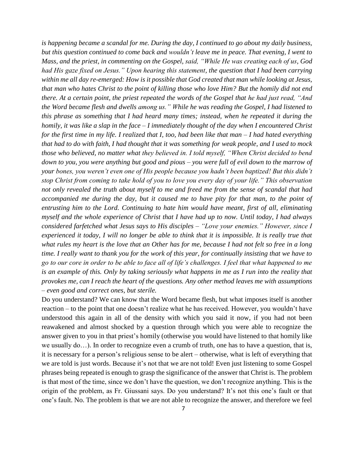*is happening became a scandal for me. During the day, I continued to go about my daily business, but this question continued to come back and wouldn't leave me in peace. That evening, I went to Mass, and the priest, in commenting on the Gospel, said, "While He was creating each of us, God had His gaze fixed on Jesus." Upon hearing this statement, the question that I had been carrying within me all day re-emerged: How is it possible that God created that man while looking at Jesus, that man who hates Christ to the point of killing those who love Him? But the homily did not end there. At a certain point, the priest repeated the words of the Gospel that he had just read, "And the Word became flesh and dwells among us." While he was reading the Gospel, I had listened to this phrase as something that I had heard many times; instead, when he repeated it during the homily, it was like a slap in the face – I immediately thought of the day when I encountered Christ for the first time in my life. I realized that I, too, had been like that man – I had hated everything that had to do with faith, I had thought that it was something for weak people, and I used to mock those who believed, no matter what they believed in. I told myself, "When Christ decided to bend down to you, you were anything but good and pious – you were full of evil down to the marrow of your bones, you weren't even one of His people because you hadn't been baptized! But this didn't stop Christ from coming to take hold of you to love you every day of your life." This observation not only revealed the truth about myself to me and freed me from the sense of scandal that had accompanied me during the day, but it caused me to have pity for that man, to the point of entrusting him to the Lord. Continuing to hate him would have meant, first of all, eliminating myself and the whole experience of Christ that I have had up to now. Until today, I had always considered farfetched what Jesus says to His disciples – "Love your enemies." However, since I experienced it today, I will no longer be able to think that it is impossible. It is really true that what rules my heart is the love that an Other has for me, because I had not felt so free in a long time. I really want to thank you for the work of this year, for continually insisting that we have to go to our core in order to be able to face all of life's challenges. I feel that what happened to me is an example of this. Only by taking seriously what happens in me as I run into the reality that provokes me, can I reach the heart of the questions. Any other method leaves me with assumptions – even good and correct ones, but sterile.*

Do you understand? We can know that the Word became flesh, but what imposes itself is another reaction – to the point that one doesn't realize what he has received. However, you wouldn't have understood this again in all of the density with which you said it now, if you had not been reawakened and almost shocked by a question through which you were able to recognize the answer given to you in that priest's homily (otherwise you would have listened to that homily like we usually do…). In order to recognize even a crumb of truth, one has to have a question, that is, it is necessary for a person's religious sense to be alert – otherwise, what is left of everything that we are told is just words. Because it's not that we are not told! Even just listening to some Gospel phrases being repeated is enough to grasp the significance of the answer that Christ is. The problem is that most of the time, since we don't have the question, we don't recognize anything. This is the origin of the problem, as Fr. Giussani says. Do you understand? It's not this one's fault or that one's fault. No. The problem is that we are not able to recognize the answer, and therefore we feel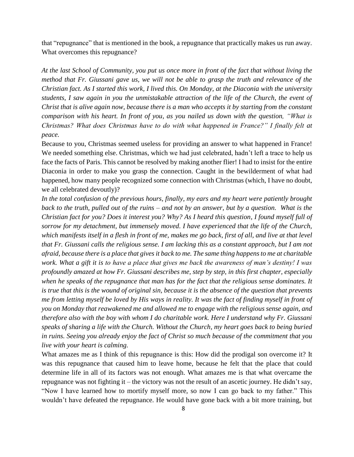that "repugnance" that is mentioned in the book, a repugnance that practically makes us run away. What overcomes this repugnance?

*At the last School of Community, you put us once more in front of the fact that without living the method that Fr. Giussani gave us, we will not be able to grasp the truth and relevance of the Christian fact. As I started this work, I lived this. On Monday, at the Diaconia with the university students, I saw again in you the unmistakable attraction of the life of the Church, the event of Christ that is alive again now, because there is a man who accepts it by starting from the constant comparison with his heart. In front of you, as you nailed us down with the question, "What is Christmas? What does Christmas have to do with what happened in France?" I finally felt at peace.*

Because to you, Christmas seemed useless for providing an answer to what happened in France! We needed something else. Christmas, which we had just celebrated, hadn't left a trace to help us face the facts of Paris. This cannot be resolved by making another flier! I had to insist for the entire Diaconia in order to make you grasp the connection. Caught in the bewilderment of what had happened, how many people recognized some connection with Christmas (which, I have no doubt, we all celebrated devoutly)?

*In the total confusion of the previous hours, finally, my ears and my heart were patiently brought back to the truth, pulled out of the ruins – and not by an answer, but by a question. What is the Christian fact for you? Does it interest you? Why? As I heard this question, I found myself full of sorrow for my detachment, but immensely moved. I have experienced that the life of the Church, which manifests itself in a flesh in front of me, makes me go back, first of all, and live at that level that Fr. Giussani calls the religious sense. I am lacking this as a constant approach, but I am not afraid, because there is a place that gives it back to me. The same thing happens to me at charitable work. What a gift it is to have a place that gives me back the awareness of man's destiny! I was profoundly amazed at how Fr. Giussani describes me, step by step, in this first chapter, especially when he speaks of the repugnance that man has for the fact that the religious sense dominates. It is true that this is the wound of original sin, because it is the absence of the question that prevents me from letting myself be loved by His ways in reality. It was the fact of finding myself in front of you on Monday that reawakened me and allowed me to engage with the religious sense again, and therefore also with the boy with whom I do charitable work. Here I understand why Fr. Giussani speaks of sharing a life with the Church. Without the Church, my heart goes back to being buried in ruins. Seeing you already enjoy the fact of Christ so much because of the commitment that you live with your heart is calming.*

What amazes me as I think of this repugnance is this: How did the prodigal son overcome it? It was this repugnance that caused him to leave home, because he felt that the place that could determine life in all of its factors was not enough. What amazes me is that what overcame the repugnance was not fighting it – the victory was not the result of an ascetic journey. He didn't say, "Now I have learned how to mortify myself more, so now I can go back to my father." This wouldn't have defeated the repugnance. He would have gone back with a bit more training, but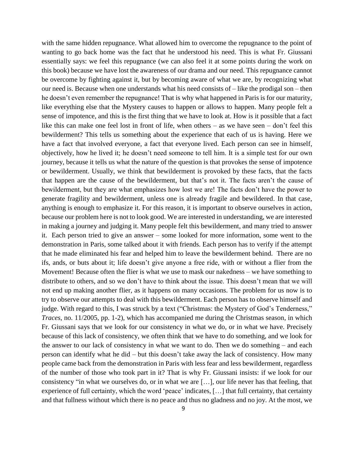with the same hidden repugnance. What allowed him to overcome the repugnance to the point of wanting to go back home was the fact that he understood his need. This is what Fr. Giussani essentially says: we feel this repugnance (we can also feel it at some points during the work on this book) because we have lost the awareness of our drama and our need. This repugnance cannot be overcome by fighting against it, but by becoming aware of what we are, by recognizing what our need is. Because when one understands what his need consists of – like the prodigal son – then he doesn't even remember the repugnance! That is why what happened in Paris is for our maturity, like everything else that the Mystery causes to happen or allows to happen. Many people felt a sense of impotence, and this is the first thing that we have to look at. How is it possible that a fact like this can make one feel lost in front of life, when others – as we have seen – don't feel this bewilderment? This tells us something about the experience that each of us is having. Here we have a fact that involved everyone, a fact that everyone lived. Each person can see in himself, objectively, how he lived it; he doesn't need someone to tell him. It is a simple test for our own journey, because it tells us what the nature of the question is that provokes the sense of impotence or bewilderment. Usually, we think that bewilderment is provoked by these facts, that the facts that happen are the cause of the bewilderment, but that's not it. The facts aren't the cause of bewilderment, but they are what emphasizes how lost we are! The facts don't have the power to generate fragility and bewilderment, unless one is already fragile and bewildered. In that case, anything is enough to emphasize it. For this reason, it is important to observe ourselves in action, because our problem here is not to look good. We are interested in understanding, we are interested in making a journey and judging it. Many people felt this bewilderment, and many tried to answer it. Each person tried to give an answer – some looked for more information, some went to the demonstration in Paris, some talked about it with friends. Each person has to verify if the attempt that he made eliminated his fear and helped him to leave the bewilderment behind. There are no ifs, ands, or buts about it; life doesn't give anyone a free ride, with or without a flier from the Movement! Because often the flier is what we use to mask our nakedness – we have something to distribute to others, and so we don't have to think about the issue. This doesn't mean that we will not end up making another flier, as it happens on many occasions. The problem for us now is to try to observe our attempts to deal with this bewilderment. Each person has to observe himself and judge. With regard to this, I was struck by a text ("Christmas: the Mystery of God's Tenderness," *Traces*, no. 11/2005, pp. 1-2), which has accompanied me during the Christmas season, in which Fr. Giussani says that we look for our consistency in what we do, or in what we have. Precisely because of this lack of consistency, we often think that we have to do something, and we look for the answer to our lack of consistency in what we want to do. Then we do something – and each person can identify what he did – but this doesn't take away the lack of consistency. How many people came back from the demonstration in Paris with less fear and less bewilderment, regardless of the number of those who took part in it? That is why Fr. Giussani insists: if we look for our consistency "in what we ourselves do, or in what we are […], our life never has that feeling, that experience of full certainty, which the word 'peace' indicates, […] that full certainty, that certainty and that fullness without which there is no peace and thus no gladness and no joy. At the most, we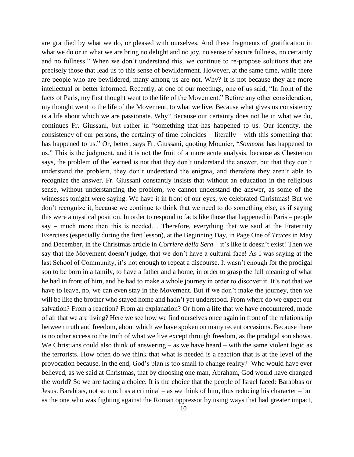are gratified by what we do, or pleased with ourselves. And these fragments of gratification in what we do or in what we are bring no delight and no joy, no sense of secure fullness, no certainty and no fullness." When we don't understand this, we continue to re-propose solutions that are precisely those that lead us to this sense of bewilderment. However, at the same time, while there are people who are bewildered, many among us are not. Why? It is not because they are more intellectual or better informed. Recently, at one of our meetings, one of us said, "In front of the facts of Paris, my first thought went to the life of the Movement." Before any other consideration, my thought went to the life of the Movement, to what we live. Because what gives us consistency is a life about which we are passionate. Why? Because our certainty does not lie in what we do, continues Fr. Giussani, but rather in "something that has happened to us. Our identity, the consistency of our persons, the certainty of time coincides – literally – with this something that has happened to us." Or, better, says Fr. Giussani, quoting Mounier, "*Someone* has happened to us." This is the judgment, and it is not the fruit of a more acute analysis, because as Chesterton says, the problem of the learned is not that they don't understand the answer, but that they don't understand the problem, they don't understand the enigma, and therefore they aren't able to recognize the answer. Fr. Giussani constantly insists that without an education in the religious sense, without understanding the problem, we cannot understand the answer, as some of the witnesses tonight were saying. We have it in front of our eyes, we celebrated Christmas! But we don't recognize it, because we continue to think that we need to do something else, as if saying this were a mystical position. In order to respond to facts like those that happened in Paris – people say – much more then this is needed… Therefore, everything that we said at the Fraternity Exercises (especially during the first lesson), at the Beginning Day, in Page One of *Traces* in May and December, in the Christmas article in *Corriere della Sera* – it's like it doesn't exist! Then we say that the Movement doesn't judge, that we don't have a cultural face! As I was saying at the last School of Community, it's not enough to repeat a discourse. It wasn't enough for the prodigal son to be born in a family, to have a father and a home, in order to grasp the full meaning of what he had in front of him, and he had to make a whole journey in order to discover it. It's not that we have to leave, no, we can even stay in the Movement. But if we don't make the journey, then we will be like the brother who stayed home and hadn't yet understood. From where do we expect our salvation? From a reaction? From an explanation? Or from a life that we have encountered, made of all that we are living? Here we see how we find ourselves once again in front of the relationship between truth and freedom, about which we have spoken on many recent occasions. Because there is no other access to the truth of what we live except through freedom, as the prodigal son shows. We Christians could also think of answering – as we have heard – with the same violent logic as the terrorists. How often do we think that what is needed is a reaction that is at the level of the provocation because, in the end, God's plan is too small to change reality? Who would have ever believed, as we said at Christmas, that by choosing one man, Abraham, God would have changed the world? So we are facing a choice. It is the choice that the people of Israel faced: Barabbas or Jesus. Barabbas, not so much as a criminal – as we think of him, thus reducing his character – but as the one who was fighting against the Roman oppressor by using ways that had greater impact,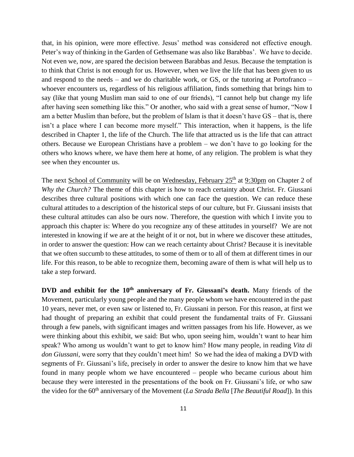that, in his opinion, were more effective. Jesus' method was considered not effective enough. Peter's way of thinking in the Garden of Gethsemane was also like Barabbas'. We have to decide. Not even we, now, are spared the decision between Barabbas and Jesus. Because the temptation is to think that Christ is not enough for us. However, when we live the life that has been given to us and respond to the needs – and we do charitable work, or GS, or the tutoring at Portofranco – whoever encounters us, regardless of his religious affiliation, finds something that brings him to say (like that young Muslim man said to one of our friends), "I cannot help but change my life after having seen something like this." Or another, who said with a great sense of humor, "Now I am a better Muslim than before, but the problem of Islam is that it doesn't have GS – that is, there isn't a place where I can become more myself." This interaction, when it happens, is the life described in Chapter 1, the life of the Church. The life that attracted us is the life that can attract others. Because we European Christians have a problem – we don't have to go looking for the others who knows where, we have them here at home, of any religion. The problem is what they see when they encounter us.

The next School of Community will be on Wednesday, February 25<sup>th</sup> at 9:30pm on Chapter 2 of *Why the Church?* The theme of this chapter is how to reach certainty about Christ. Fr. Giussani describes three cultural positions with which one can face the question. We can reduce these cultural attitudes to a description of the historical steps of our culture, but Fr. Giussani insists that these cultural attitudes can also be ours now. Therefore, the question with which I invite you to approach this chapter is: Where do you recognize any of these attitudes in yourself? We are not interested in knowing if we are at the height of it or not, but in where we discover these attitudes, in order to answer the question: How can we reach certainty about Christ? Because it is inevitable that we often succumb to these attitudes, to some of them or to all of them at different times in our life. For this reason, to be able to recognize them, becoming aware of them is what will help us to take a step forward.

**DVD and exhibit for the 10th anniversary of Fr. Giussani's death.** Many friends of the Movement, particularly young people and the many people whom we have encountered in the past 10 years, never met, or even saw or listened to, Fr. Giussani in person. For this reason, at first we had thought of preparing an exhibit that could present the fundamental traits of Fr. Giussani through a few panels, with significant images and written passages from his life. However, as we were thinking about this exhibit, we said: But who, upon seeing him, wouldn't want to hear him speak? Who among us wouldn't want to get to know him? How many people, in reading *Vita di don Giussani*, were sorry that they couldn't meet him! So we had the idea of making a DVD with segments of Fr. Giussani's life, precisely in order to answer the desire to know him that we have found in many people whom we have encountered – people who became curious about him because they were interested in the presentations of the book on Fr. Giussani's life, or who saw the video for the 60<sup>th</sup> anniversary of the Movement (*La Strada Bella* [*The Beautiful Road*]). In this